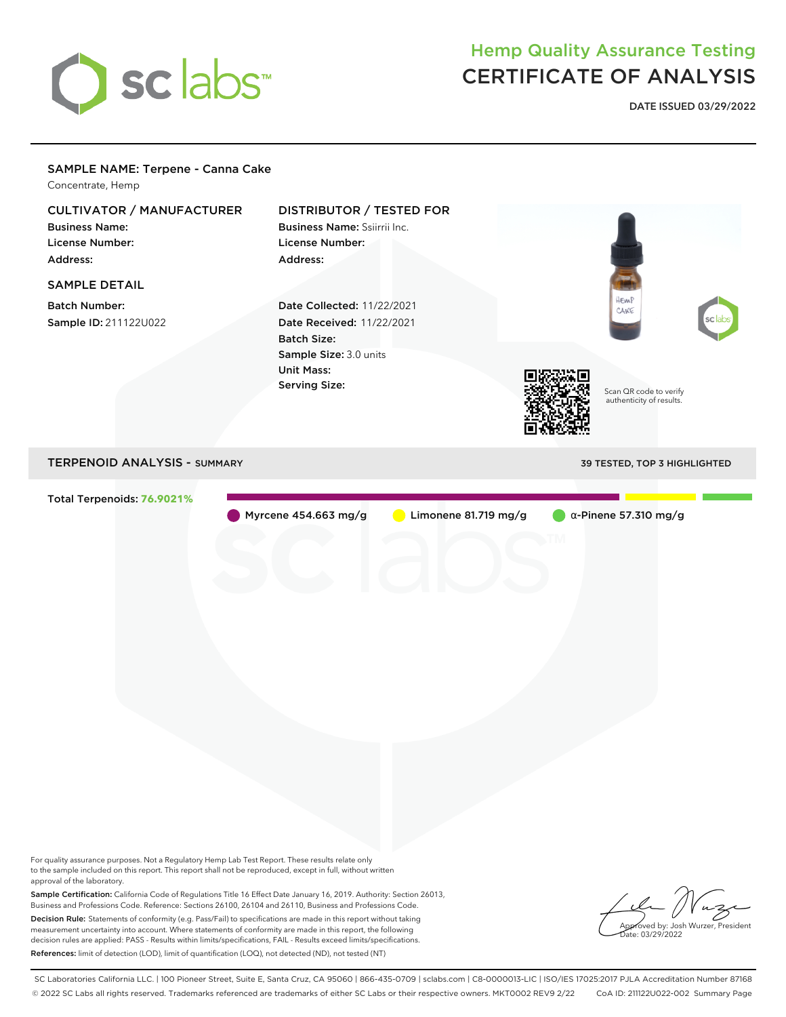

## Hemp Quality Assurance Testing CERTIFICATE OF ANALYSIS

**DATE ISSUED 03/29/2022**

### SAMPLE NAME: Terpene - Canna Cake Concentrate, Hemp CULTIVATOR / MANUFACTURER DISTRIBUTOR / TESTED FOR Business Name: Business Name: Ssiirrii Inc. License Number: License Number: Address: Address: SAMPLE DETAIL **HEMP** Batch Number: Date Collected: 11/22/2021 CAKE Sample ID: 211122U022 Date Received: 11/22/2021 Batch Size: Sample Size: 3.0 units Unit Mass: Serving Size: Scan QR code to verify authenticity of results. TERPENOID ANALYSIS - SUMMARY 39 TESTED, TOP 3 HIGHLIGHTED Total Terpenoids: **76.9021%** Myrcene 454.663 mg/g Limonene 81.719 mg/g α-Pinene 57.310 mg/g

For quality assurance purposes. Not a Regulatory Hemp Lab Test Report. These results relate only to the sample included on this report. This report shall not be reproduced, except in full, without written approval of the laboratory.

Sample Certification: California Code of Regulations Title 16 Effect Date January 16, 2019. Authority: Section 26013, Business and Professions Code. Reference: Sections 26100, 26104 and 26110, Business and Professions Code. Decision Rule: Statements of conformity (e.g. Pass/Fail) to specifications are made in this report without taking measurement uncertainty into account. Where statements of conformity are made in this report, the following decision rules are applied: PASS - Results within limits/specifications, FAIL - Results exceed limits/specifications. References: limit of detection (LOD), limit of quantification (LOQ), not detected (ND), not tested (NT)

oved by: Josh Wurzer, President .<br>te: 03/29/2022

SC Laboratories California LLC. | 100 Pioneer Street, Suite E, Santa Cruz, CA 95060 | 866-435-0709 | sclabs.com | C8-0000013-LIC | ISO/IES 17025:2017 PJLA Accreditation Number 87168 © 2022 SC Labs all rights reserved. Trademarks referenced are trademarks of either SC Labs or their respective owners. MKT0002 REV9 2/22 CoA ID: 211122U022-002 Summary Page